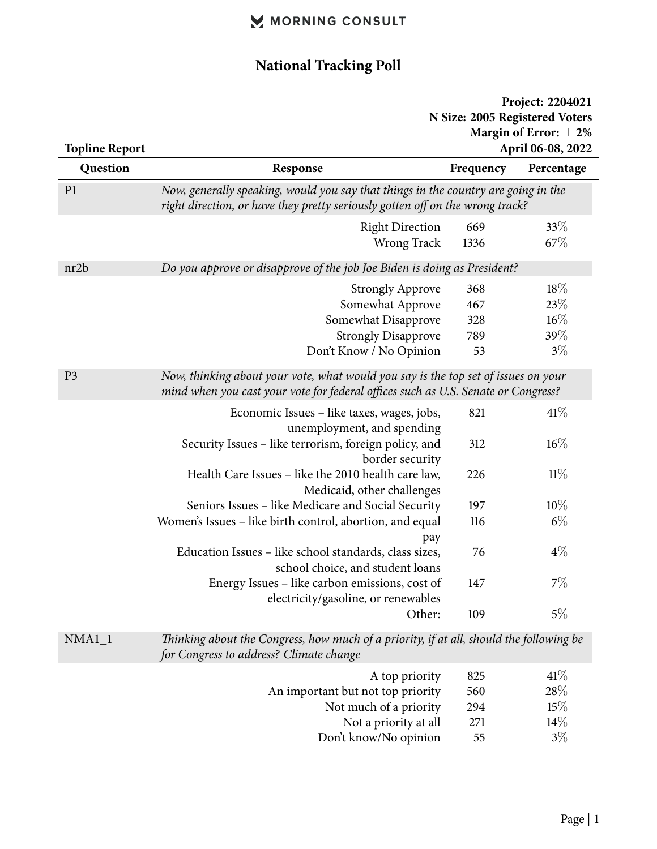#### **National Tracking Poll**

#### **Project: 2204021 N Size: 2005 Registered Voters Margin of Error:** *±* **2% Topline Report April 06-08, 2022**

| Topline Report | April 00-08, 2022                                                                                                                                                       |                                                                                                                                                                     |             |  |
|----------------|-------------------------------------------------------------------------------------------------------------------------------------------------------------------------|---------------------------------------------------------------------------------------------------------------------------------------------------------------------|-------------|--|
| Question       | Response                                                                                                                                                                | Frequency                                                                                                                                                           | Percentage  |  |
| P <sub>1</sub> |                                                                                                                                                                         | Now, generally speaking, would you say that things in the country are going in the<br>right direction, or have they pretty seriously gotten off on the wrong track? |             |  |
|                | <b>Right Direction</b><br>Wrong Track                                                                                                                                   | 669<br>1336                                                                                                                                                         | 33%<br>67\% |  |
|                |                                                                                                                                                                         |                                                                                                                                                                     |             |  |
| nr2b           | Do you approve or disapprove of the job Joe Biden is doing as President?                                                                                                |                                                                                                                                                                     |             |  |
|                | <b>Strongly Approve</b>                                                                                                                                                 | 368                                                                                                                                                                 | 18%         |  |
|                | Somewhat Approve                                                                                                                                                        | 467                                                                                                                                                                 | 23%         |  |
|                | Somewhat Disapprove                                                                                                                                                     | 328                                                                                                                                                                 | $16\%$      |  |
|                | <b>Strongly Disapprove</b>                                                                                                                                              | 789                                                                                                                                                                 | 39%         |  |
|                | Don't Know / No Opinion                                                                                                                                                 | 53                                                                                                                                                                  | $3\%$       |  |
| P <sub>3</sub> | Now, thinking about your vote, what would you say is the top set of issues on your<br>mind when you cast your vote for federal offices such as U.S. Senate or Congress? |                                                                                                                                                                     |             |  |
|                | Economic Issues – like taxes, wages, jobs,<br>unemployment, and spending                                                                                                | 821                                                                                                                                                                 | 41%         |  |
|                | Security Issues – like terrorism, foreign policy, and<br>border security                                                                                                | 312                                                                                                                                                                 | $16\%$      |  |
|                | Health Care Issues - like the 2010 health care law,<br>Medicaid, other challenges                                                                                       | 226                                                                                                                                                                 | 11%         |  |
|                | Seniors Issues - like Medicare and Social Security                                                                                                                      | 197                                                                                                                                                                 | $10\%$      |  |
|                | Women's Issues - like birth control, abortion, and equal<br>pay                                                                                                         | 116                                                                                                                                                                 | $6\%$       |  |
|                | Education Issues – like school standards, class sizes,<br>school choice, and student loans                                                                              | 76                                                                                                                                                                  | $4\%$       |  |
|                | Energy Issues - like carbon emissions, cost of<br>electricity/gasoline, or renewables                                                                                   | 147                                                                                                                                                                 | $7\%$       |  |
|                | Other:                                                                                                                                                                  | 109                                                                                                                                                                 | 5%          |  |
| $NMA1_1$       | Thinking about the Congress, how much of a priority, if at all, should the following be<br>for Congress to address? Climate change                                      |                                                                                                                                                                     |             |  |
|                | A top priority                                                                                                                                                          | 825                                                                                                                                                                 | 41%         |  |
|                | An important but not top priority                                                                                                                                       | 560                                                                                                                                                                 | 28\%        |  |
|                | Not much of a priority                                                                                                                                                  | 294                                                                                                                                                                 | 15%         |  |
|                | Not a priority at all                                                                                                                                                   | 271                                                                                                                                                                 | 14%         |  |
|                | Don't know/No opinion                                                                                                                                                   | 55                                                                                                                                                                  | $3\%$       |  |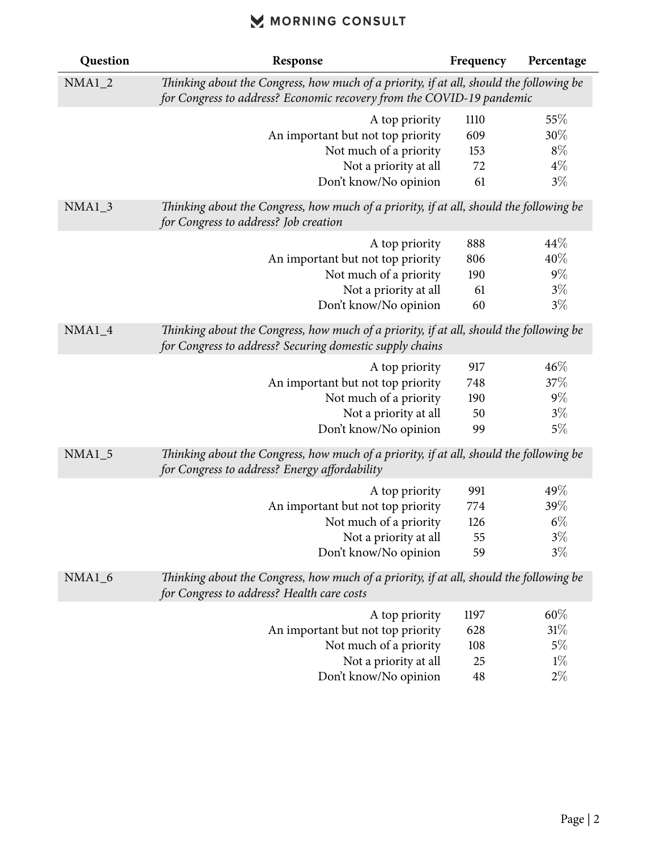| Question | Response                                                                                                                                                         | Frequency  | Percentage |
|----------|------------------------------------------------------------------------------------------------------------------------------------------------------------------|------------|------------|
| $NMA1_2$ | Thinking about the Congress, how much of a priority, if at all, should the following be<br>for Congress to address? Economic recovery from the COVID-19 pandemic |            |            |
|          |                                                                                                                                                                  |            |            |
|          | A top priority                                                                                                                                                   | 1110       | 55%<br>30% |
|          | An important but not top priority<br>Not much of a priority                                                                                                      | 609<br>153 | $8\%$      |
|          | Not a priority at all                                                                                                                                            | 72         | $4\%$      |
|          | Don't know/No opinion                                                                                                                                            | 61         | $3\%$      |
| NMA1 3   | Thinking about the Congress, how much of a priority, if at all, should the following be<br>for Congress to address? Job creation                                 |            |            |
|          | A top priority                                                                                                                                                   | 888        | 44\%       |
|          | An important but not top priority                                                                                                                                | 806        | 40%        |
|          | Not much of a priority                                                                                                                                           | 190        | $9\%$      |
|          | Not a priority at all                                                                                                                                            | 61         | $3\%$      |
|          | Don't know/No opinion                                                                                                                                            | 60         | $3\%$      |
| $NMA1_4$ | Thinking about the Congress, how much of a priority, if at all, should the following be<br>for Congress to address? Securing domestic supply chains              |            |            |
|          | A top priority                                                                                                                                                   | 917        | 46%        |
|          | An important but not top priority                                                                                                                                | 748        | $37\%$     |
|          | Not much of a priority                                                                                                                                           | 190        | $9\%$      |
|          | Not a priority at all                                                                                                                                            | 50         | $3\%$      |
|          | Don't know/No opinion                                                                                                                                            | 99         | 5%         |
| $NMA1_5$ | Thinking about the Congress, how much of a priority, if at all, should the following be<br>for Congress to address? Energy affordability                         |            |            |
|          | A top priority                                                                                                                                                   | 991        | 49%        |
|          | An important but not top priority                                                                                                                                | 774        | 39%        |
|          | Not much of a priority                                                                                                                                           | 126        | $6\%$      |
|          | Not a priority at all                                                                                                                                            | 55         | $3\%$      |
|          | Don't know/No opinion                                                                                                                                            | 59         | $3\%$      |
| $NMA1_6$ | Thinking about the Congress, how much of a priority, if at all, should the following be<br>for Congress to address? Health care costs                            |            |            |
|          | A top priority                                                                                                                                                   | 1197       | $60\%$     |
|          | An important but not top priority                                                                                                                                | 628        | 31%        |
|          | Not much of a priority                                                                                                                                           | 108        | $5\%$      |
|          | Not a priority at all                                                                                                                                            | 25         | $1\%$      |
|          | Don't know/No opinion                                                                                                                                            | 48         | $2\%$      |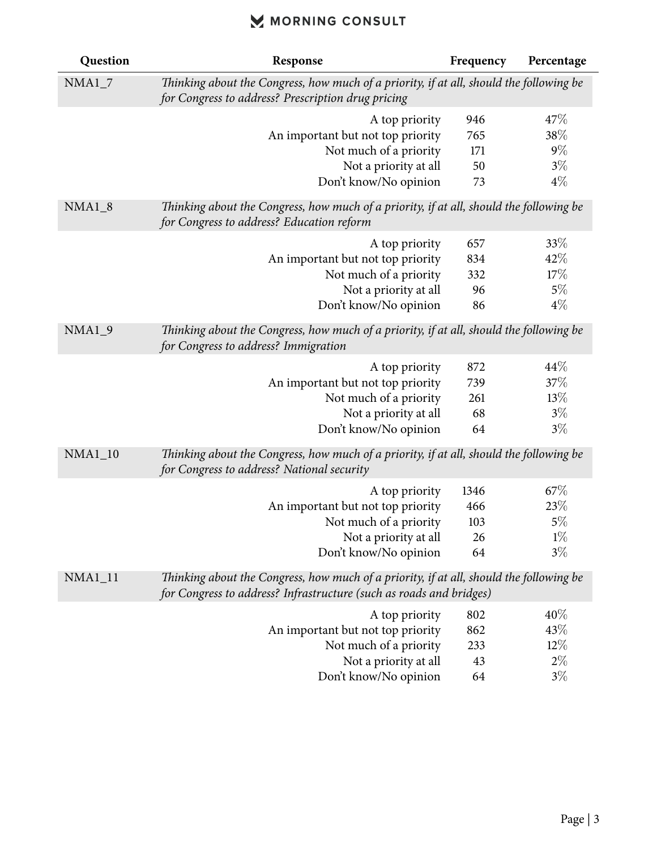| Question       | Response                                                                                                                                                       | Frequency | Percentage |
|----------------|----------------------------------------------------------------------------------------------------------------------------------------------------------------|-----------|------------|
| $NMA1_7$       | Thinking about the Congress, how much of a priority, if at all, should the following be<br>for Congress to address? Prescription drug pricing                  |           |            |
|                | A top priority                                                                                                                                                 | 946       | 47\%       |
|                | An important but not top priority                                                                                                                              | 765       | 38%        |
|                | Not much of a priority                                                                                                                                         | 171       | $9\%$      |
|                | Not a priority at all                                                                                                                                          | 50        | $3\%$      |
|                | Don't know/No opinion                                                                                                                                          | 73        | $4\%$      |
| $NMA1_8$       | Thinking about the Congress, how much of a priority, if at all, should the following be<br>for Congress to address? Education reform                           |           |            |
|                | A top priority                                                                                                                                                 | 657       | 33%        |
|                | An important but not top priority                                                                                                                              | 834       | 42%        |
|                | Not much of a priority                                                                                                                                         | 332       | 17%        |
|                | Not a priority at all                                                                                                                                          | 96        | $5\%$      |
|                | Don't know/No opinion                                                                                                                                          | 86        | $4\%$      |
| $NMA1_9$       | Thinking about the Congress, how much of a priority, if at all, should the following be<br>for Congress to address? Immigration                                |           |            |
|                | A top priority                                                                                                                                                 | 872       | 44\%       |
|                | An important but not top priority                                                                                                                              | 739       | 37%        |
|                | Not much of a priority                                                                                                                                         | 261       | 13%        |
|                | Not a priority at all                                                                                                                                          | 68        | $3\%$      |
|                | Don't know/No opinion                                                                                                                                          | 64        | $3\%$      |
| <b>NMA1_10</b> | Thinking about the Congress, how much of a priority, if at all, should the following be<br>for Congress to address? National security                          |           |            |
|                | A top priority                                                                                                                                                 | 1346      | 67\%       |
|                | An important but not top priority                                                                                                                              | 466       | 23%        |
|                | Not much of a priority                                                                                                                                         | 103       | $5\%$      |
|                | Not a priority at all                                                                                                                                          | 26        | $1\%$      |
|                | Don't know/No opinion                                                                                                                                          | 64        | $3\%$      |
| <b>NMA1_11</b> | Thinking about the Congress, how much of a priority, if at all, should the following be<br>for Congress to address? Infrastructure (such as roads and bridges) |           |            |
|                | A top priority                                                                                                                                                 | 802       | $40\%$     |
|                | An important but not top priority                                                                                                                              | 862       | 43%        |
|                | Not much of a priority                                                                                                                                         | 233       | $12\%$     |
|                | Not a priority at all                                                                                                                                          | 43        | $2\%$      |
|                | Don't know/No opinion                                                                                                                                          | 64        | $3\%$      |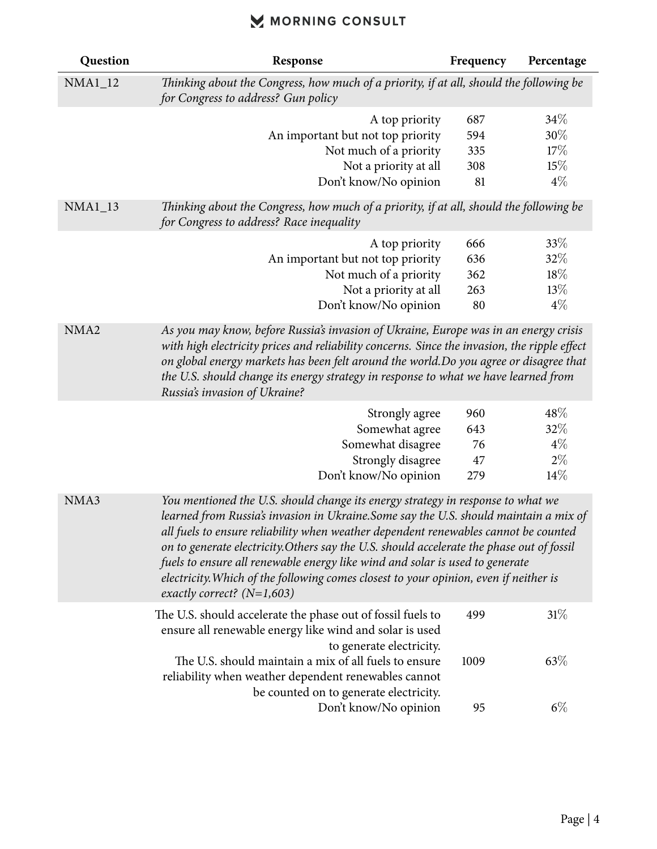| Question       | Response                                                                                                                                                                                                                                                                                                                                                                                                                                                                                                                                                              | Frequency | Percentage |
|----------------|-----------------------------------------------------------------------------------------------------------------------------------------------------------------------------------------------------------------------------------------------------------------------------------------------------------------------------------------------------------------------------------------------------------------------------------------------------------------------------------------------------------------------------------------------------------------------|-----------|------------|
| <b>NMA1_12</b> | Thinking about the Congress, how much of a priority, if at all, should the following be<br>for Congress to address? Gun policy                                                                                                                                                                                                                                                                                                                                                                                                                                        |           |            |
|                | A top priority                                                                                                                                                                                                                                                                                                                                                                                                                                                                                                                                                        | 687       | 34%        |
|                | An important but not top priority                                                                                                                                                                                                                                                                                                                                                                                                                                                                                                                                     | 594       | 30%        |
|                | Not much of a priority                                                                                                                                                                                                                                                                                                                                                                                                                                                                                                                                                | 335       | 17%        |
|                | Not a priority at all                                                                                                                                                                                                                                                                                                                                                                                                                                                                                                                                                 | 308       | 15%        |
|                | Don't know/No opinion                                                                                                                                                                                                                                                                                                                                                                                                                                                                                                                                                 | 81        | $4\%$      |
| <b>NMA1_13</b> | Thinking about the Congress, how much of a priority, if at all, should the following be<br>for Congress to address? Race inequality                                                                                                                                                                                                                                                                                                                                                                                                                                   |           |            |
|                | A top priority                                                                                                                                                                                                                                                                                                                                                                                                                                                                                                                                                        | 666       | 33%        |
|                | An important but not top priority                                                                                                                                                                                                                                                                                                                                                                                                                                                                                                                                     | 636       | 32\%       |
|                | Not much of a priority                                                                                                                                                                                                                                                                                                                                                                                                                                                                                                                                                | 362       | 18%        |
|                | Not a priority at all                                                                                                                                                                                                                                                                                                                                                                                                                                                                                                                                                 | 263       | 13%        |
|                | Don't know/No opinion                                                                                                                                                                                                                                                                                                                                                                                                                                                                                                                                                 | 80        | $4\%$      |
|                | with high electricity prices and reliability concerns. Since the invasion, the ripple effect<br>on global energy markets has been felt around the world. Do you agree or disagree that<br>the U.S. should change its energy strategy in response to what we have learned from<br>Russia's invasion of Ukraine?                                                                                                                                                                                                                                                        |           |            |
|                | Strongly agree                                                                                                                                                                                                                                                                                                                                                                                                                                                                                                                                                        | 960       | 48\%       |
|                | Somewhat agree                                                                                                                                                                                                                                                                                                                                                                                                                                                                                                                                                        | 643       | 32%        |
|                | Somewhat disagree                                                                                                                                                                                                                                                                                                                                                                                                                                                                                                                                                     | 76        | $4\%$      |
|                | Strongly disagree                                                                                                                                                                                                                                                                                                                                                                                                                                                                                                                                                     | 47        | $2\%$      |
|                | Don't know/No opinion                                                                                                                                                                                                                                                                                                                                                                                                                                                                                                                                                 | 279       | 14%        |
| NMA3           | You mentioned the U.S. should change its energy strategy in response to what we<br>learned from Russia's invasion in Ukraine. Some say the U.S. should maintain a mix of<br>all fuels to ensure reliability when weather dependent renewables cannot be counted<br>on to generate electricity. Others say the U.S. should accelerate the phase out of fossil<br>fuels to ensure all renewable energy like wind and solar is used to generate<br>electricity. Which of the following comes closest to your opinion, even if neither is<br>exactly correct? $(N=1,603)$ |           |            |
|                | The U.S. should accelerate the phase out of fossil fuels to<br>ensure all renewable energy like wind and solar is used<br>to generate electricity.                                                                                                                                                                                                                                                                                                                                                                                                                    | 499       | 31%        |
|                | The U.S. should maintain a mix of all fuels to ensure<br>reliability when weather dependent renewables cannot<br>be counted on to generate electricity.                                                                                                                                                                                                                                                                                                                                                                                                               | 1009      | 63\%       |
|                | Don't know/No opinion                                                                                                                                                                                                                                                                                                                                                                                                                                                                                                                                                 | 95        | $6\%$      |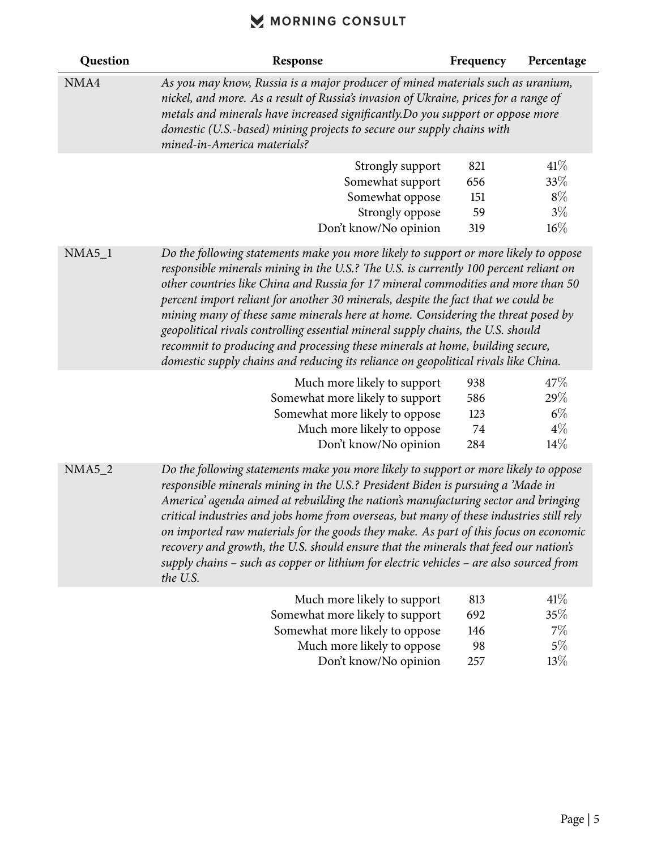| Question | Response                                                                                                                                                                                                                                                                                                                                                                                                                                                                                                                                                                                                                                                                                                | Frequency                      | Percentage                             |
|----------|---------------------------------------------------------------------------------------------------------------------------------------------------------------------------------------------------------------------------------------------------------------------------------------------------------------------------------------------------------------------------------------------------------------------------------------------------------------------------------------------------------------------------------------------------------------------------------------------------------------------------------------------------------------------------------------------------------|--------------------------------|----------------------------------------|
| NMA4     | As you may know, Russia is a major producer of mined materials such as uranium,<br>nickel, and more. As a result of Russia's invasion of Ukraine, prices for a range of<br>metals and minerals have increased significantly. Do you support or oppose more<br>domestic (U.S.-based) mining projects to secure our supply chains with<br>mined-in-America materials?                                                                                                                                                                                                                                                                                                                                     |                                |                                        |
|          | Strongly support<br>Somewhat support<br>Somewhat oppose<br>Strongly oppose<br>Don't know/No opinion                                                                                                                                                                                                                                                                                                                                                                                                                                                                                                                                                                                                     | 821<br>656<br>151<br>59<br>319 | 41%<br>33%<br>$8\%$<br>$3\%$<br>16%    |
| $NMA5_1$ | Do the following statements make you more likely to support or more likely to oppose<br>responsible minerals mining in the U.S.? The U.S. is currently 100 percent reliant on<br>other countries like China and Russia for 17 mineral commodities and more than 50<br>percent import reliant for another 30 minerals, despite the fact that we could be<br>mining many of these same minerals here at home. Considering the threat posed by<br>geopolitical rivals controlling essential mineral supply chains, the U.S. should<br>recommit to producing and processing these minerals at home, building secure,<br>domestic supply chains and reducing its reliance on geopolitical rivals like China. |                                |                                        |
|          | Much more likely to support<br>Somewhat more likely to support<br>Somewhat more likely to oppose<br>Much more likely to oppose<br>Don't know/No opinion                                                                                                                                                                                                                                                                                                                                                                                                                                                                                                                                                 | 938<br>586<br>123<br>74<br>284 | 47%<br>29%<br>$6\%$<br>$4\%$<br>$14\%$ |
| $NMA5_2$ | Do the following statements make you more likely to support or more likely to oppose<br>responsible minerals mining in the U.S.? President Biden is pursuing a 'Made in<br>America' agenda aimed at rebuilding the nation's manufacturing sector and bringing<br>critical industries and jobs home from overseas, but many of these industries still rely<br>on imported raw materials for the goods they make. As part of this focus on economic<br>recovery and growth, the U.S. should ensure that the minerals that feed our nation's<br>supply chains – such as copper or lithium for electric vehicles – are also sourced from<br>the U.S.                                                        |                                |                                        |
|          | Much more likely to support<br>Somewhat more likely to support<br>Somewhat more likely to oppose<br>Much more likely to oppose                                                                                                                                                                                                                                                                                                                                                                                                                                                                                                                                                                          | 813<br>692<br>146<br>98        | 41%<br>35%<br>$7\%$<br>$5\%$           |

Don't know/No opinion 257 13 $\%$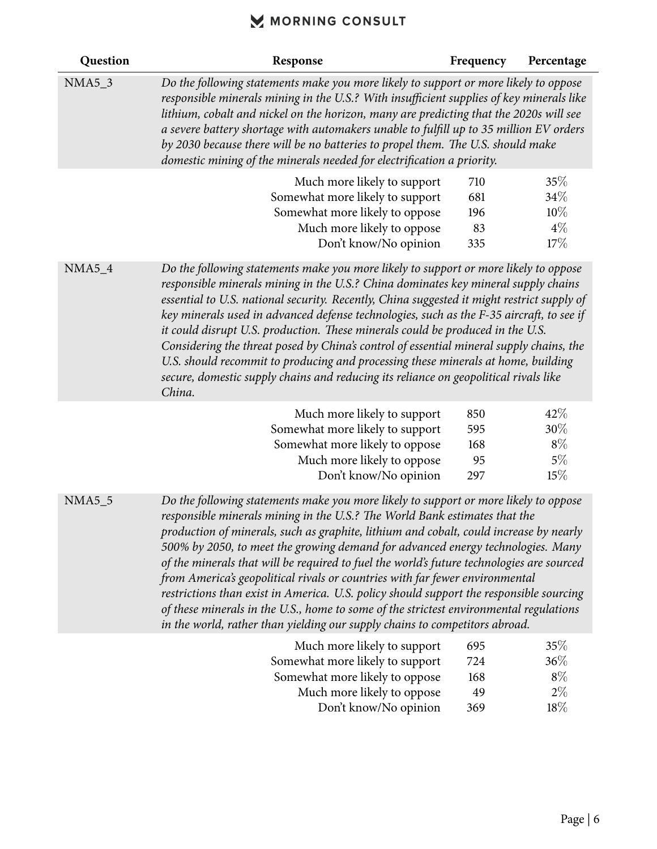| Question      | Response                                                                                                                                                                                                                                                                                                                                                                                                                                                                                                                                                                                                                                                                                                                                                                                         | Frequency                      | Percentage                              |
|---------------|--------------------------------------------------------------------------------------------------------------------------------------------------------------------------------------------------------------------------------------------------------------------------------------------------------------------------------------------------------------------------------------------------------------------------------------------------------------------------------------------------------------------------------------------------------------------------------------------------------------------------------------------------------------------------------------------------------------------------------------------------------------------------------------------------|--------------------------------|-----------------------------------------|
| <b>NMA5_3</b> | Do the following statements make you more likely to support or more likely to oppose<br>responsible minerals mining in the U.S.? With insufficient supplies of key minerals like<br>lithium, cobalt and nickel on the horizon, many are predicting that the 2020s will see<br>a severe battery shortage with automakers unable to fulfill up to 35 million EV orders<br>by 2030 because there will be no batteries to propel them. The U.S. should make<br>domestic mining of the minerals needed for electrification a priority.                                                                                                                                                                                                                                                                |                                |                                         |
|               | Much more likely to support<br>Somewhat more likely to support<br>Somewhat more likely to oppose<br>Much more likely to oppose<br>Don't know/No opinion                                                                                                                                                                                                                                                                                                                                                                                                                                                                                                                                                                                                                                          | 710<br>681<br>196<br>83<br>335 | 35%<br>34\%<br>$10\%$<br>$4\%$<br>17%   |
| $NMA5_4$      | Do the following statements make you more likely to support or more likely to oppose<br>responsible minerals mining in the U.S.? China dominates key mineral supply chains<br>essential to U.S. national security. Recently, China suggested it might restrict supply of<br>key minerals used in advanced defense technologies, such as the F-35 aircraft, to see if<br>it could disrupt U.S. production. These minerals could be produced in the U.S.<br>Considering the threat posed by China's control of essential mineral supply chains, the<br>U.S. should recommit to producing and processing these minerals at home, building<br>secure, domestic supply chains and reducing its reliance on geopolitical rivals like<br>China.                                                         |                                |                                         |
|               | Much more likely to support<br>Somewhat more likely to support<br>Somewhat more likely to oppose<br>Much more likely to oppose<br>Don't know/No opinion                                                                                                                                                                                                                                                                                                                                                                                                                                                                                                                                                                                                                                          | 850<br>595<br>168<br>95<br>297 | 42\%<br>$30\%$<br>$8\%$<br>$5\%$<br>15% |
| <b>NMA5_5</b> | Do the following statements make you more likely to support or more likely to oppose<br>responsible minerals mining in the U.S.? The World Bank estimates that the<br>production of minerals, such as graphite, lithium and cobalt, could increase by nearly<br>500% by 2050, to meet the growing demand for advanced energy technologies. Many<br>of the minerals that will be required to fuel the world's future technologies are sourced<br>from America's geopolitical rivals or countries with far fewer environmental<br>restrictions than exist in America. U.S. policy should support the responsible sourcing<br>of these minerals in the U.S., home to some of the strictest environmental regulations<br>in the world, rather than yielding our supply chains to competitors abroad. |                                |                                         |
|               | Much more likely to support<br>Somewhat more likely to support<br>Somewhat more likely to oppose<br>Much more likely to oppose<br>Don't know/No opinion                                                                                                                                                                                                                                                                                                                                                                                                                                                                                                                                                                                                                                          | 695<br>724<br>168<br>49<br>369 | 35%<br>36%<br>$8\%$<br>$2\%$<br>$18\%$  |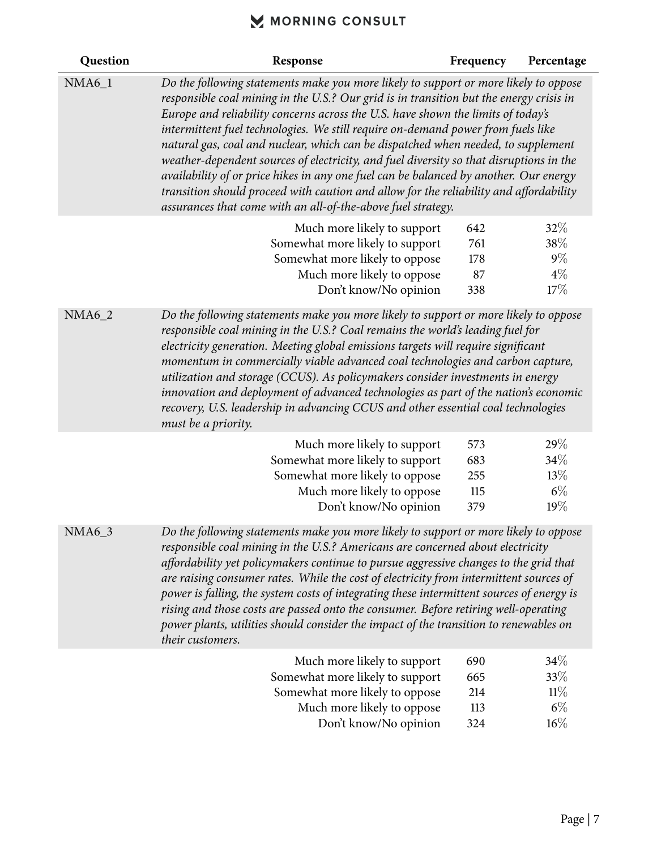| Question      | Response                                                                                                                                                                                                                                                                                                                                                                                                                                                                                                                                                                                                                                                                                                                                                                                   | Frequency                       | Percentage                            |
|---------------|--------------------------------------------------------------------------------------------------------------------------------------------------------------------------------------------------------------------------------------------------------------------------------------------------------------------------------------------------------------------------------------------------------------------------------------------------------------------------------------------------------------------------------------------------------------------------------------------------------------------------------------------------------------------------------------------------------------------------------------------------------------------------------------------|---------------------------------|---------------------------------------|
| $NMA6_1$      | Do the following statements make you more likely to support or more likely to oppose<br>responsible coal mining in the U.S.? Our grid is in transition but the energy crisis in<br>Europe and reliability concerns across the U.S. have shown the limits of today's<br>intermittent fuel technologies. We still require on-demand power from fuels like<br>natural gas, coal and nuclear, which can be dispatched when needed, to supplement<br>weather-dependent sources of electricity, and fuel diversity so that disruptions in the<br>availability of or price hikes in any one fuel can be balanced by another. Our energy<br>transition should proceed with caution and allow for the reliability and affordability<br>assurances that come with an all-of-the-above fuel strategy. |                                 |                                       |
|               | Much more likely to support<br>Somewhat more likely to support<br>Somewhat more likely to oppose<br>Much more likely to oppose<br>Don't know/No opinion                                                                                                                                                                                                                                                                                                                                                                                                                                                                                                                                                                                                                                    | 642<br>761<br>178<br>87<br>338  | 32%<br>38%<br>$9\%$<br>$4\%$<br>17%   |
| <b>NMA6_2</b> | Do the following statements make you more likely to support or more likely to oppose<br>responsible coal mining in the U.S.? Coal remains the world's leading fuel for<br>electricity generation. Meeting global emissions targets will require significant<br>momentum in commercially viable advanced coal technologies and carbon capture,<br>utilization and storage (CCUS). As policymakers consider investments in energy<br>innovation and deployment of advanced technologies as part of the nation's economic<br>recovery, U.S. leadership in advancing CCUS and other essential coal technologies<br>must be a priority.                                                                                                                                                         |                                 |                                       |
|               | Much more likely to support<br>Somewhat more likely to support<br>Somewhat more likely to oppose<br>Much more likely to oppose<br>Don't know/No opinion                                                                                                                                                                                                                                                                                                                                                                                                                                                                                                                                                                                                                                    | 573<br>683<br>255<br>115<br>379 | 29%<br>34\%<br>13%<br>$6\%$<br>19%    |
| NMA6_3        | Do the following statements make you more likely to support or more likely to oppose<br>responsible coal mining in the U.S.? Americans are concerned about electricity<br>affordability yet policymakers continue to pursue aggressive changes to the grid that<br>are raising consumer rates. While the cost of electricity from intermittent sources of<br>power is falling, the system costs of integrating these intermittent sources of energy is<br>rising and those costs are passed onto the consumer. Before retiring well-operating<br>power plants, utilities should consider the impact of the transition to renewables on<br>their customers.                                                                                                                                 |                                 |                                       |
|               | Much more likely to support<br>Somewhat more likely to support<br>Somewhat more likely to oppose<br>Much more likely to oppose<br>Don't know/No opinion                                                                                                                                                                                                                                                                                                                                                                                                                                                                                                                                                                                                                                    | 690<br>665<br>214<br>113<br>324 | 34\%<br>33%<br>11%<br>$6\%$<br>$16\%$ |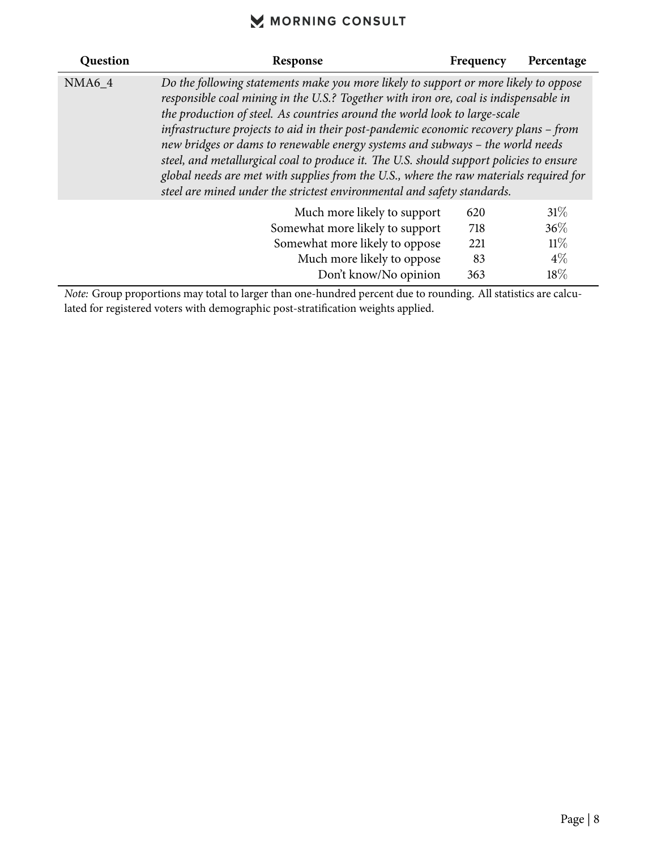| Question | Response                                                                                                                                                                                                                                                                                                                                                                                                                                                                                                                                                                                                                                                                                             | Frequency | Percentage |
|----------|------------------------------------------------------------------------------------------------------------------------------------------------------------------------------------------------------------------------------------------------------------------------------------------------------------------------------------------------------------------------------------------------------------------------------------------------------------------------------------------------------------------------------------------------------------------------------------------------------------------------------------------------------------------------------------------------------|-----------|------------|
| NMA6 4   | Do the following statements make you more likely to support or more likely to oppose<br>responsible coal mining in the U.S.? Together with iron ore, coal is indispensable in<br>the production of steel. As countries around the world look to large-scale<br>infrastructure projects to aid in their post-pandemic economic recovery plans - from<br>new bridges or dams to renewable energy systems and subways - the world needs<br>steel, and metallurgical coal to produce it. The U.S. should support policies to ensure<br>global needs are met with supplies from the U.S., where the raw materials required for<br>steel are mined under the strictest environmental and safety standards. |           |            |
|          | Much more likely to support                                                                                                                                                                                                                                                                                                                                                                                                                                                                                                                                                                                                                                                                          | 620       | 31%        |
|          | Somewhat more likely to support                                                                                                                                                                                                                                                                                                                                                                                                                                                                                                                                                                                                                                                                      | 718       | $36\%$     |
|          | 221                                                                                                                                                                                                                                                                                                                                                                                                                                                                                                                                                                                                                                                                                                  | 11%       |            |
|          | Much more likely to oppose                                                                                                                                                                                                                                                                                                                                                                                                                                                                                                                                                                                                                                                                           | 83        | $4\%$      |
|          | Don't know/No opinion                                                                                                                                                                                                                                                                                                                                                                                                                                                                                                                                                                                                                                                                                | 363       | $18\%$     |

*Note:* Group proportions may total to larger than one-hundred percent due to rounding. All statistics are calculated for registered voters with demographic post-stratification weights applied.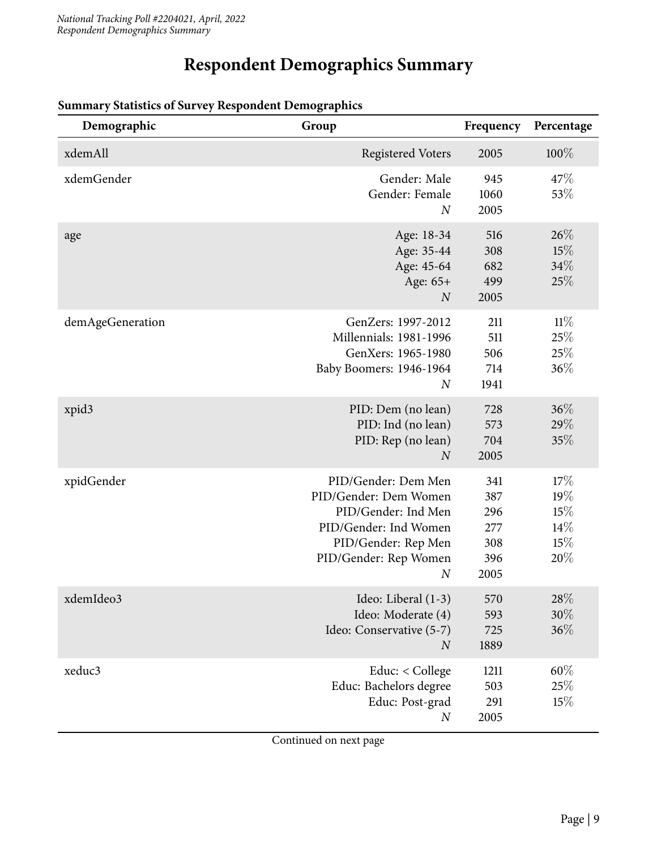# **Respondent Demographics Summary**

| Demographic      | Group                                                                                                                                                            | Frequency                                      | Percentage                             |
|------------------|------------------------------------------------------------------------------------------------------------------------------------------------------------------|------------------------------------------------|----------------------------------------|
| xdemAll          | <b>Registered Voters</b>                                                                                                                                         | 2005                                           | 100%                                   |
| xdemGender       | Gender: Male<br>Gender: Female<br>$\overline{N}$                                                                                                                 | 945<br>1060<br>2005                            | 47\%<br>53%                            |
| age              | Age: 18-34<br>Age: 35-44<br>Age: 45-64<br>Age: 65+<br>$\boldsymbol{N}$                                                                                           | 516<br>308<br>682<br>499<br>2005               | 26%<br>15%<br>34%<br>25%               |
| demAgeGeneration | GenZers: 1997-2012<br>Millennials: 1981-1996<br>GenXers: 1965-1980<br>Baby Boomers: 1946-1964<br>$\boldsymbol{N}$                                                | 211<br>511<br>506<br>714<br>1941               | $11\%$<br>25%<br>25%<br>36%            |
| xpid3            | PID: Dem (no lean)<br>PID: Ind (no lean)<br>PID: Rep (no lean)<br>$\overline{N}$                                                                                 | 728<br>573<br>704<br>2005                      | 36%<br>29%<br>35%                      |
| xpidGender       | PID/Gender: Dem Men<br>PID/Gender: Dem Women<br>PID/Gender: Ind Men<br>PID/Gender: Ind Women<br>PID/Gender: Rep Men<br>PID/Gender: Rep Women<br>$\boldsymbol{N}$ | 341<br>387<br>296<br>277<br>308<br>396<br>2005 | 17%<br>19%<br>15%<br>14%<br>15%<br>20% |
| xdemIdeo3        | Ideo: Liberal (1-3)<br>Ideo: Moderate (4)<br>Ideo: Conservative (5-7)<br>$\boldsymbol{N}$                                                                        | 570<br>593<br>725<br>1889                      | $28\%$<br>$30\%$<br>36%                |
| xeduc3           | Educ: < College<br>Educ: Bachelors degree<br>Educ: Post-grad<br>$\boldsymbol{N}$                                                                                 | 1211<br>503<br>291<br>2005                     | $60\%$<br>25%<br>15%                   |

#### **Summary Statistics of Survey Respondent Demographics**

Continued on next page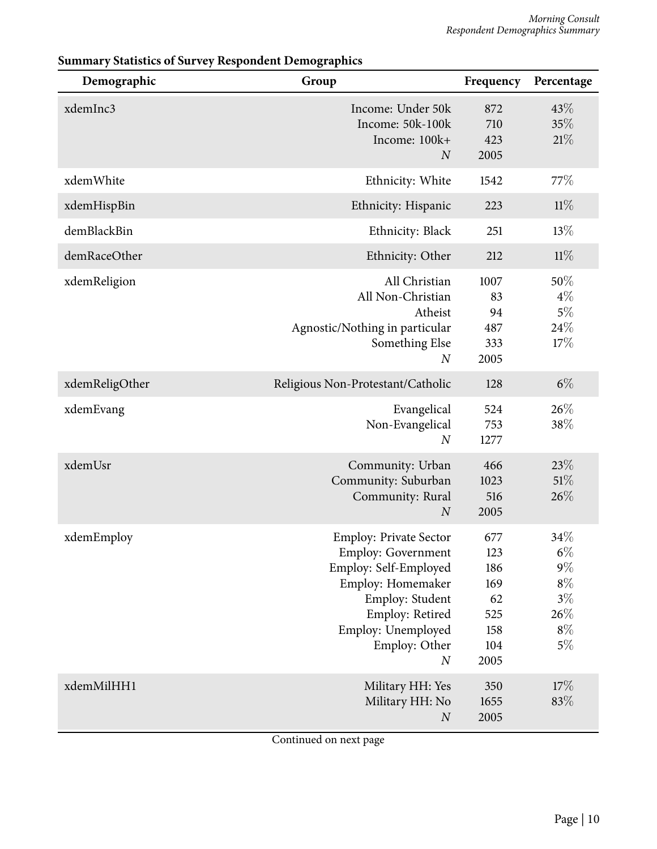| Demographic    | Group                                                                                                                                                                                                     | Frequency                                                   | Percentage                                                          |
|----------------|-----------------------------------------------------------------------------------------------------------------------------------------------------------------------------------------------------------|-------------------------------------------------------------|---------------------------------------------------------------------|
| xdemInc3       | Income: Under 50k<br>Income: 50k-100k<br>Income: 100k+<br>$\boldsymbol{N}$                                                                                                                                | 872<br>710<br>423<br>2005                                   | 43%<br>35%<br>21%                                                   |
| xdemWhite      | Ethnicity: White                                                                                                                                                                                          | 1542                                                        | 77\%                                                                |
| xdemHispBin    | Ethnicity: Hispanic                                                                                                                                                                                       | 223                                                         | 11%                                                                 |
| demBlackBin    | Ethnicity: Black                                                                                                                                                                                          | 251                                                         | 13%                                                                 |
| demRaceOther   | Ethnicity: Other                                                                                                                                                                                          | 212                                                         | 11%                                                                 |
| xdemReligion   | All Christian<br>All Non-Christian<br>Atheist<br>Agnostic/Nothing in particular<br>Something Else<br>$\boldsymbol{N}$                                                                                     | 1007<br>83<br>94<br>487<br>333<br>2005                      | 50%<br>$4\%$<br>$5\%$<br>24%<br>17%                                 |
| xdemReligOther | Religious Non-Protestant/Catholic                                                                                                                                                                         | 128                                                         | $6\%$                                                               |
| xdemEvang      | Evangelical<br>Non-Evangelical<br>$\boldsymbol{N}$                                                                                                                                                        | 524<br>753<br>1277                                          | 26\%<br>38%                                                         |
| xdemUsr        | Community: Urban<br>Community: Suburban<br>Community: Rural<br>$\boldsymbol{N}$                                                                                                                           | 466<br>1023<br>516<br>2005                                  | 23%<br>51%<br>26%                                                   |
| xdemEmploy     | <b>Employ: Private Sector</b><br><b>Employ: Government</b><br>Employ: Self-Employed<br>Employ: Homemaker<br>Employ: Student<br>Employ: Retired<br>Employ: Unemployed<br>Employ: Other<br>$\boldsymbol{N}$ | 677<br>123<br>186<br>169<br>62<br>525<br>158<br>104<br>2005 | 34%<br>$6\%$<br>$9\%$<br>$8\%$<br>$3\%$<br>$26\%$<br>$8\%$<br>$5\%$ |
| xdemMilHH1     | Military HH: Yes<br>Military HH: No<br>$\boldsymbol{N}$                                                                                                                                                   | 350<br>1655<br>2005                                         | 17%<br>83%                                                          |

#### **Summary Statistics of Survey Respondent Demographics**

Continued on next page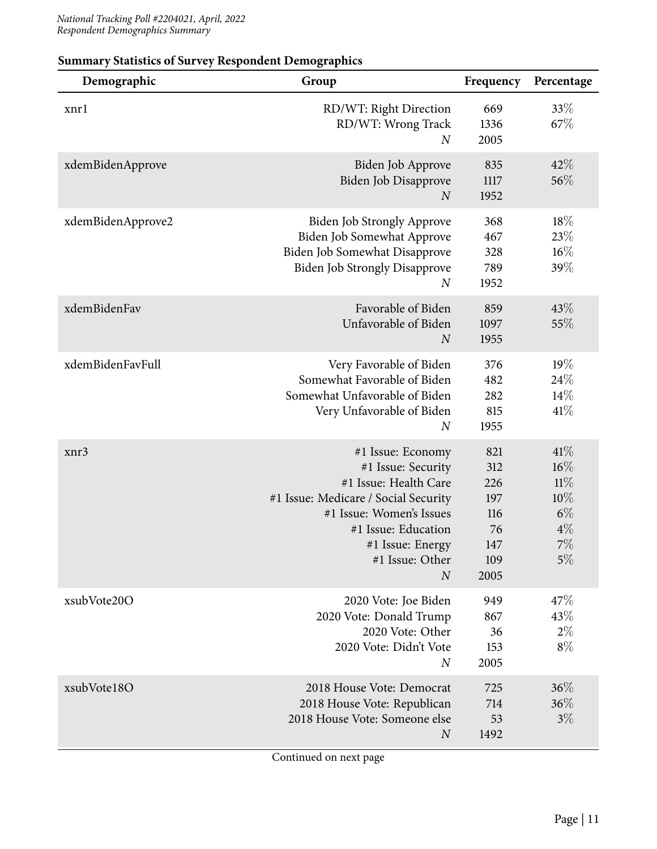| Demographic       | Group                                                                                                                                                                                                                  | Frequency                                                   | Percentage                                                   |
|-------------------|------------------------------------------------------------------------------------------------------------------------------------------------------------------------------------------------------------------------|-------------------------------------------------------------|--------------------------------------------------------------|
| xnrl              | RD/WT: Right Direction<br>RD/WT: Wrong Track<br>$_{N}$                                                                                                                                                                 | 669<br>1336<br>2005                                         | 33\%<br>67\%                                                 |
| xdemBidenApprove  | Biden Job Approve<br>Biden Job Disapprove<br>$\boldsymbol{N}$                                                                                                                                                          | 835<br>1117<br>1952                                         | 42%<br>56%                                                   |
| xdemBidenApprove2 | <b>Biden Job Strongly Approve</b><br>Biden Job Somewhat Approve<br>Biden Job Somewhat Disapprove<br><b>Biden Job Strongly Disapprove</b><br>$\boldsymbol{N}$                                                           | 368<br>467<br>328<br>789<br>1952                            | 18%<br>23\%<br>$16\%$<br>39%                                 |
| xdemBidenFav      | Favorable of Biden<br>Unfavorable of Biden<br>$\boldsymbol{N}$                                                                                                                                                         | 859<br>1097<br>1955                                         | 43\%<br>55%                                                  |
| xdemBidenFavFull  | Very Favorable of Biden<br>Somewhat Favorable of Biden<br>Somewhat Unfavorable of Biden<br>Very Unfavorable of Biden<br>$\boldsymbol{N}$                                                                               | 376<br>482<br>282<br>815<br>1955                            | 19%<br>24%<br>14%<br>41%                                     |
| xnr3              | #1 Issue: Economy<br>#1 Issue: Security<br>#1 Issue: Health Care<br>#1 Issue: Medicare / Social Security<br>#1 Issue: Women's Issues<br>#1 Issue: Education<br>#1 Issue: Energy<br>#1 Issue: Other<br>$\boldsymbol{N}$ | 821<br>312<br>226<br>197<br>116<br>76<br>147<br>109<br>2005 | 41%<br>16%<br>11%<br>10%<br>$6\%$<br>$4\%$<br>$7\%$<br>$5\%$ |
| xsubVote20O       | 2020 Vote: Joe Biden<br>2020 Vote: Donald Trump<br>2020 Vote: Other<br>2020 Vote: Didn't Vote<br>$\overline{N}$                                                                                                        | 949<br>867<br>36<br>153<br>2005                             | 47\%<br>43%<br>$2\%$<br>$8\%$                                |
| xsubVote18O       | 2018 House Vote: Democrat<br>2018 House Vote: Republican<br>2018 House Vote: Someone else<br>$\overline{N}$                                                                                                            | 725<br>714<br>53<br>1492                                    | 36%<br>36%<br>$3\%$                                          |

#### **Summary Statistics of Survey Respondent Demographics**

Continued on next page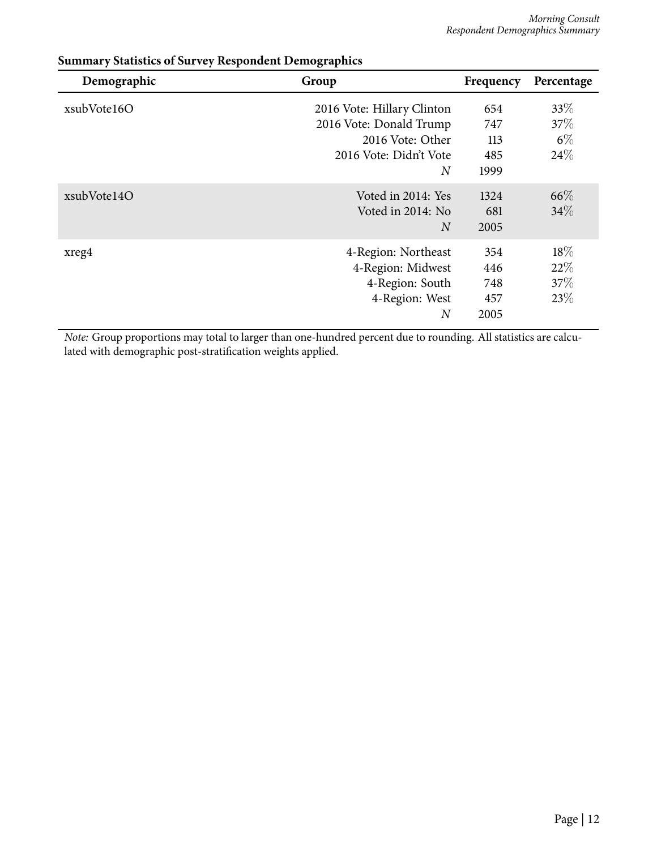| Demographic | Group                      | Frequency | Percentage |
|-------------|----------------------------|-----------|------------|
| xsubVote16O | 2016 Vote: Hillary Clinton | 654       | 33\%       |
|             | 2016 Vote: Donald Trump    | 747       | $37\%$     |
|             | 2016 Vote: Other           | 113       | $6\%$      |
|             | 2016 Vote: Didn't Vote     | 485       | 24\%       |
|             | $\overline{N}$             | 1999      |            |
| xsubVote14O | Voted in 2014: Yes         | 1324      | 66\%       |
|             | Voted in 2014: No          | 681       | 34\%       |
|             | $\overline{N}$             | 2005      |            |
| xreg4       | 4-Region: Northeast        | 354       | 18\%       |
|             | 4-Region: Midwest          | 446       | 22%        |
|             | 4-Region: South            | 748       | 37\%       |
|             | 4-Region: West             | 457       | 23\%       |
|             | $\boldsymbol{N}$           | 2005      |            |

#### **Summary Statistics of Survey Respondent Demographics**

*Note:* Group proportions may total to larger than one-hundred percent due to rounding. All statistics are calculated with demographic post-stratification weights applied.